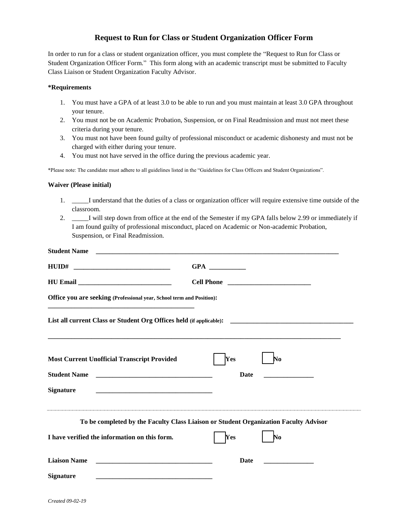## **Request to Run for Class or Student Organization Officer Form**

In order to run for a class or student organization officer, you must complete the "Request to Run for Class or Student Organization Officer Form." This form along with an academic transcript must be submitted to Faculty Class Liaison or Student Organization Faculty Advisor.

## **\*Requirements**

- 1. You must have a GPA of at least 3.0 to be able to run and you must maintain at least 3.0 GPA throughout your tenure.
- 2. You must not be on Academic Probation, Suspension, or on Final Readmission and must not meet these criteria during your tenure.
- 3. You must not have been found guilty of professional misconduct or academic dishonesty and must not be charged with either during your tenure.
- 4. You must not have served in the office during the previous academic year.

\*Please note: The candidate must adhere to all guidelines listed in the "Guidelines for Class Officers and Student Organizations".

## **Waiver (Please initial)**

- 1. \_\_\_\_\_I understand that the duties of a class or organization officer will require extensive time outside of the classroom.
- 2. \_\_\_\_\_I will step down from office at the end of the Semester if my GPA falls below 2.99 or immediately if I am found guilty of professional misconduct, placed on Academic or Non-academic Probation, Suspension, or Final Readmission.

| <b>Student Name</b>                                                                                                                         |                                                                                                                                                                                                                                     |
|---------------------------------------------------------------------------------------------------------------------------------------------|-------------------------------------------------------------------------------------------------------------------------------------------------------------------------------------------------------------------------------------|
|                                                                                                                                             |                                                                                                                                                                                                                                     |
|                                                                                                                                             | <b>Cell Phone</b> 2008 2009 2010 2021 2022 2023 2024 2022 2022 2023 2024 2022 2023 2024 2022 2023 2024 2025 2026 2027 2028 2029 2020 2021 2022 2023 2029 2021 2022 2023 2029 2021 2022 2023 2029 2021 2022 2023 2021 2022 2023 2029 |
| Office you are seeking (Professional year, School term and Position):                                                                       |                                                                                                                                                                                                                                     |
|                                                                                                                                             |                                                                                                                                                                                                                                     |
| <b>Most Current Unofficial Transcript Provided</b>                                                                                          | Yes<br>$\mathbf{N_0}$                                                                                                                                                                                                               |
| <b>Student Name</b><br><u> 1980 - Jan Berlin, margaret barat mendekan berasal dalam pada tahun 1980 menjadi barat dalam berasal dalam b</u> | Date                                                                                                                                                                                                                                |
| <b>Signature</b>                                                                                                                            |                                                                                                                                                                                                                                     |
|                                                                                                                                             | To be completed by the Faculty Class Liaison or Student Organization Faculty Advisor                                                                                                                                                |
| I have verified the information on this form.                                                                                               | Yes<br>$\mathbf{N_0}$                                                                                                                                                                                                               |
| <b>Liaison Name</b>                                                                                                                         | <b>Date</b>                                                                                                                                                                                                                         |
| <b>Signature</b>                                                                                                                            |                                                                                                                                                                                                                                     |